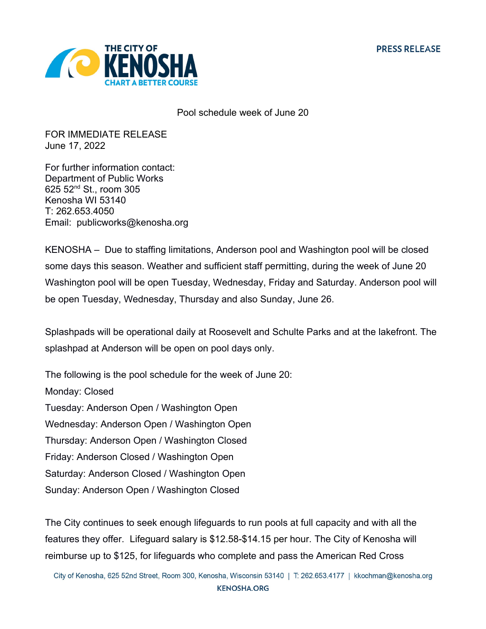

Pool schedule week of June 20

FOR IMMEDIATE RELEASE June 17, 2022

For further information contact: Department of Public Works 625 52nd St., room 305 Kenosha WI 53140 T: 262.653.4050 Email: publicworks@kenosha.org

KENOSHA – Due to staffing limitations, Anderson pool and Washington pool will be closed some days this season. Weather and sufficient staff permitting, during the week of June 20 Washington pool will be open Tuesday, Wednesday, Friday and Saturday. Anderson pool will be open Tuesday, Wednesday, Thursday and also Sunday, June 26.

Splashpads will be operational daily at Roosevelt and Schulte Parks and at the lakefront. The splashpad at Anderson will be open on pool days only.

The following is the pool schedule for the week of June 20: Monday: Closed Tuesday: Anderson Open / Washington Open Wednesday: Anderson Open / Washington Open Thursday: Anderson Open / Washington Closed Friday: Anderson Closed / Washington Open Saturday: Anderson Closed / Washington Open Sunday: Anderson Open / Washington Closed

The City continues to seek enough lifeguards to run pools at full capacity and with all the features they offer. Lifeguard salary is \$12.58-\$14.15 per hour. The City of Kenosha will reimburse up to \$125, for lifeguards who complete and pass the American Red Cross